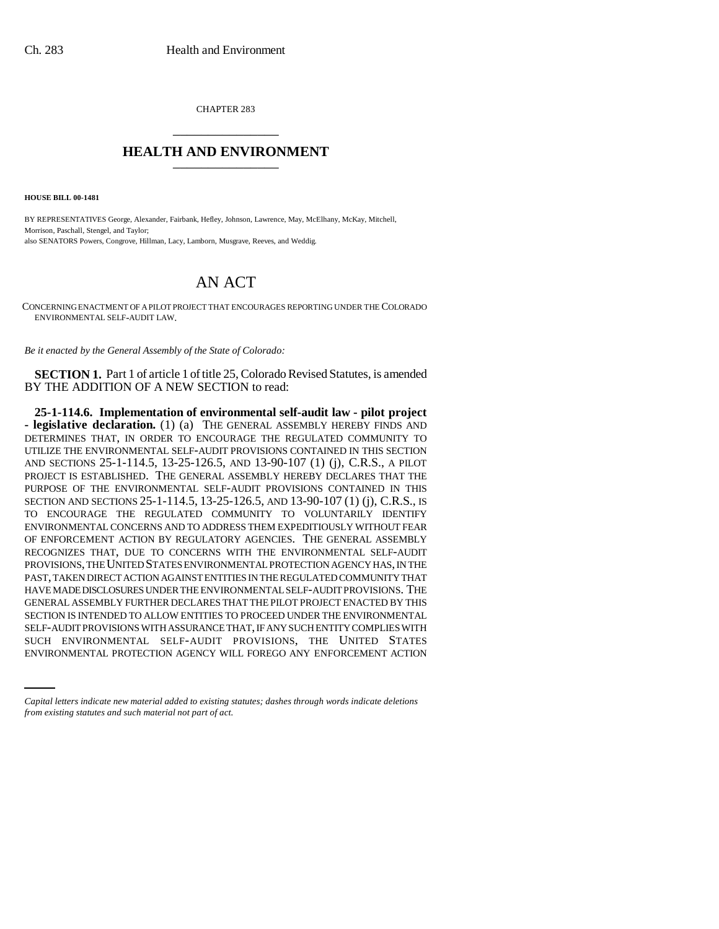CHAPTER 283 \_\_\_\_\_\_\_\_\_\_\_\_\_\_\_

## **HEALTH AND ENVIRONMENT** \_\_\_\_\_\_\_\_\_\_\_\_\_\_\_

**HOUSE BILL 00-1481**

BY REPRESENTATIVES George, Alexander, Fairbank, Hefley, Johnson, Lawrence, May, McElhany, McKay, Mitchell, Morrison, Paschall, Stengel, and Taylor; also SENATORS Powers, Congrove, Hillman, Lacy, Lamborn, Musgrave, Reeves, and Weddig.

## AN ACT

CONCERNING ENACTMENT OF A PILOT PROJECT THAT ENCOURAGES REPORTING UNDER THE COLORADO ENVIRONMENTAL SELF-AUDIT LAW.

*Be it enacted by the General Assembly of the State of Colorado:*

**SECTION 1.** Part 1 of article 1 of title 25, Colorado Revised Statutes, is amended BY THE ADDITION OF A NEW SECTION to read:

SELF-AUDIT PROVISIONS WITH ASSURANCE THAT, IF ANY SUCH ENTITY COMPLIES WITH **25-1-114.6. Implementation of environmental self-audit law - pilot project - legislative declaration.** (1) (a) THE GENERAL ASSEMBLY HEREBY FINDS AND DETERMINES THAT, IN ORDER TO ENCOURAGE THE REGULATED COMMUNITY TO UTILIZE THE ENVIRONMENTAL SELF-AUDIT PROVISIONS CONTAINED IN THIS SECTION AND SECTIONS 25-1-114.5, 13-25-126.5, AND 13-90-107 (1) (j), C.R.S., A PILOT PROJECT IS ESTABLISHED. THE GENERAL ASSEMBLY HEREBY DECLARES THAT THE PURPOSE OF THE ENVIRONMENTAL SELF-AUDIT PROVISIONS CONTAINED IN THIS SECTION AND SECTIONS 25-1-114.5, 13-25-126.5, AND 13-90-107 (1) (j), C.R.S., IS TO ENCOURAGE THE REGULATED COMMUNITY TO VOLUNTARILY IDENTIFY ENVIRONMENTAL CONCERNS AND TO ADDRESS THEM EXPEDITIOUSLY WITHOUT FEAR OF ENFORCEMENT ACTION BY REGULATORY AGENCIES. THE GENERAL ASSEMBLY RECOGNIZES THAT, DUE TO CONCERNS WITH THE ENVIRONMENTAL SELF-AUDIT PROVISIONS, THE UNITED STATES ENVIRONMENTAL PROTECTION AGENCY HAS, IN THE PAST, TAKEN DIRECT ACTION AGAINST ENTITIES IN THE REGULATED COMMUNITY THAT HAVE MADE DISCLOSURES UNDER THE ENVIRONMENTAL SELF-AUDIT PROVISIONS. THE GENERAL ASSEMBLY FURTHER DECLARES THAT THE PILOT PROJECT ENACTED BY THIS SECTION IS INTENDED TO ALLOW ENTITIES TO PROCEED UNDER THE ENVIRONMENTAL SUCH ENVIRONMENTAL SELF-AUDIT PROVISIONS, THE UNITED STATES ENVIRONMENTAL PROTECTION AGENCY WILL FOREGO ANY ENFORCEMENT ACTION

*Capital letters indicate new material added to existing statutes; dashes through words indicate deletions from existing statutes and such material not part of act.*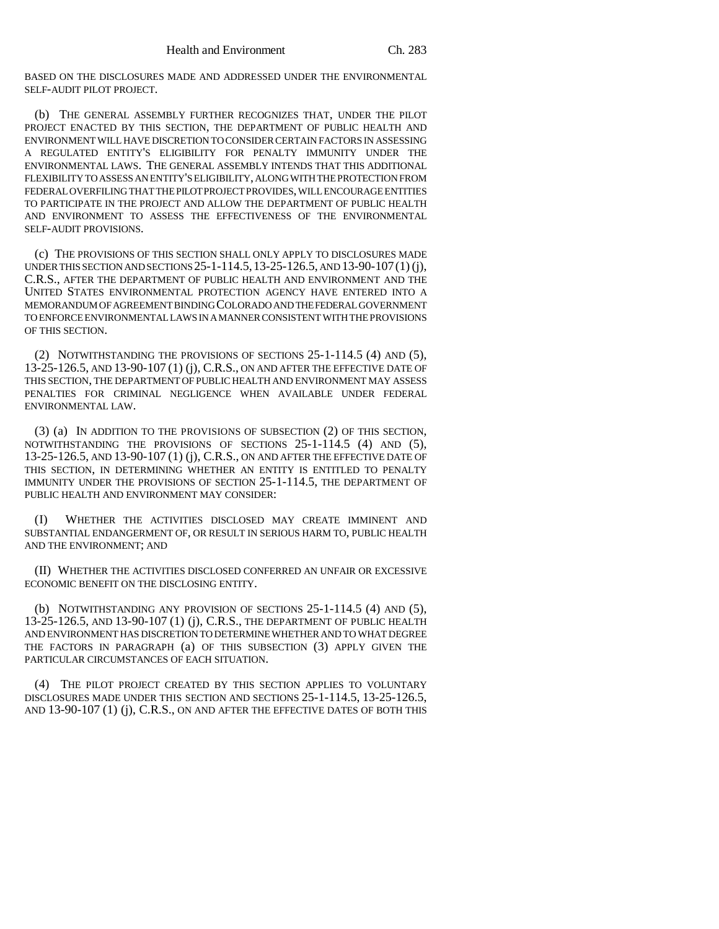BASED ON THE DISCLOSURES MADE AND ADDRESSED UNDER THE ENVIRONMENTAL SELF-AUDIT PILOT PROJECT.

(b) THE GENERAL ASSEMBLY FURTHER RECOGNIZES THAT, UNDER THE PILOT PROJECT ENACTED BY THIS SECTION, THE DEPARTMENT OF PUBLIC HEALTH AND ENVIRONMENT WILL HAVE DISCRETION TO CONSIDER CERTAIN FACTORS IN ASSESSING A REGULATED ENTITY'S ELIGIBILITY FOR PENALTY IMMUNITY UNDER THE ENVIRONMENTAL LAWS. THE GENERAL ASSEMBLY INTENDS THAT THIS ADDITIONAL FLEXIBILITY TO ASSESS AN ENTITY'S ELIGIBILITY, ALONG WITH THE PROTECTION FROM FEDERAL OVERFILING THAT THE PILOT PROJECT PROVIDES, WILL ENCOURAGE ENTITIES TO PARTICIPATE IN THE PROJECT AND ALLOW THE DEPARTMENT OF PUBLIC HEALTH AND ENVIRONMENT TO ASSESS THE EFFECTIVENESS OF THE ENVIRONMENTAL SELF-AUDIT PROVISIONS.

(c) THE PROVISIONS OF THIS SECTION SHALL ONLY APPLY TO DISCLOSURES MADE UNDER THIS SECTION AND SECTIONS 25-1-114.5,13-25-126.5, AND 13-90-107(1) (j), C.R.S., AFTER THE DEPARTMENT OF PUBLIC HEALTH AND ENVIRONMENT AND THE UNITED STATES ENVIRONMENTAL PROTECTION AGENCY HAVE ENTERED INTO A MEMORANDUM OF AGREEMENT BINDING COLORADO AND THE FEDERAL GOVERNMENT TO ENFORCE ENVIRONMENTAL LAWS IN A MANNER CONSISTENT WITH THE PROVISIONS OF THIS SECTION.

(2) NOTWITHSTANDING THE PROVISIONS OF SECTIONS 25-1-114.5 (4) AND (5), 13-25-126.5, AND 13-90-107 (1) (j), C.R.S., ON AND AFTER THE EFFECTIVE DATE OF THIS SECTION, THE DEPARTMENT OF PUBLIC HEALTH AND ENVIRONMENT MAY ASSESS PENALTIES FOR CRIMINAL NEGLIGENCE WHEN AVAILABLE UNDER FEDERAL ENVIRONMENTAL LAW.

(3) (a) IN ADDITION TO THE PROVISIONS OF SUBSECTION (2) OF THIS SECTION, NOTWITHSTANDING THE PROVISIONS OF SECTIONS 25-1-114.5 (4) AND (5), 13-25-126.5, AND 13-90-107 (1) (j), C.R.S., ON AND AFTER THE EFFECTIVE DATE OF THIS SECTION, IN DETERMINING WHETHER AN ENTITY IS ENTITLED TO PENALTY IMMUNITY UNDER THE PROVISIONS OF SECTION 25-1-114.5, THE DEPARTMENT OF PUBLIC HEALTH AND ENVIRONMENT MAY CONSIDER:

(I) WHETHER THE ACTIVITIES DISCLOSED MAY CREATE IMMINENT AND SUBSTANTIAL ENDANGERMENT OF, OR RESULT IN SERIOUS HARM TO, PUBLIC HEALTH AND THE ENVIRONMENT; AND

(II) WHETHER THE ACTIVITIES DISCLOSED CONFERRED AN UNFAIR OR EXCESSIVE ECONOMIC BENEFIT ON THE DISCLOSING ENTITY.

(b) NOTWITHSTANDING ANY PROVISION OF SECTIONS 25-1-114.5 (4) AND (5), 13-25-126.5, AND 13-90-107 (1) (j), C.R.S., THE DEPARTMENT OF PUBLIC HEALTH AND ENVIRONMENT HAS DISCRETION TO DETERMINE WHETHER AND TO WHAT DEGREE THE FACTORS IN PARAGRAPH (a) OF THIS SUBSECTION (3) APPLY GIVEN THE PARTICULAR CIRCUMSTANCES OF EACH SITUATION.

(4) THE PILOT PROJECT CREATED BY THIS SECTION APPLIES TO VOLUNTARY DISCLOSURES MADE UNDER THIS SECTION AND SECTIONS 25-1-114.5, 13-25-126.5, AND 13-90-107 (1) (j), C.R.S., ON AND AFTER THE EFFECTIVE DATES OF BOTH THIS